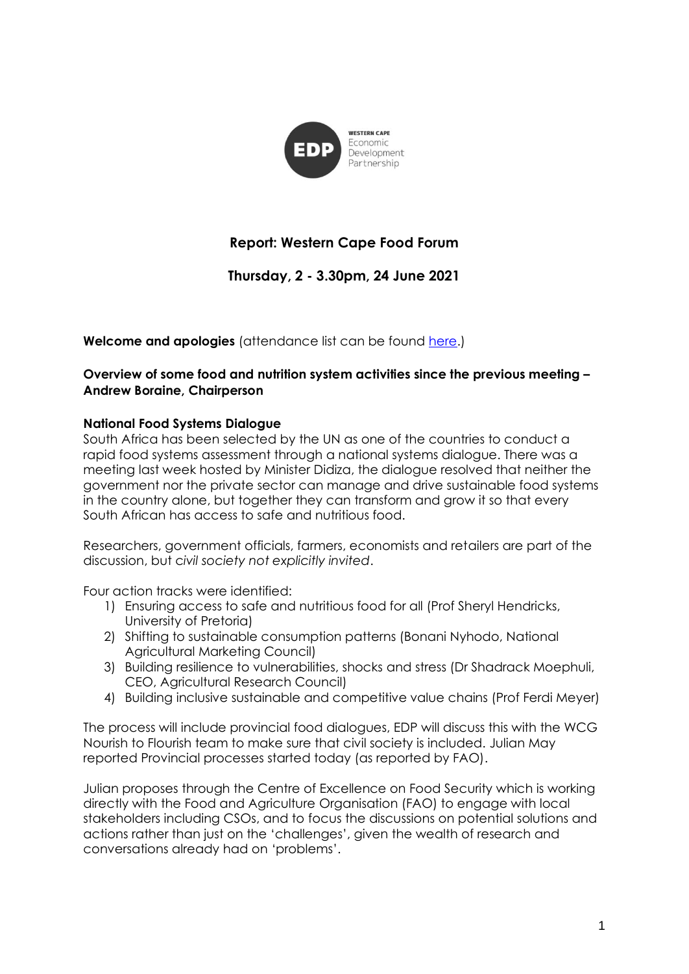

# **Report: Western Cape Food Forum**

# **Thursday, 2 - 3.30pm, 24 June 2021**

**Welcome and apologies** (attendance list can be found [here.](https://drive.google.com/file/d/1PaeJkieieMyWBis6t-mUyoEdQktzQxE7/view?usp=sharing))

## **Overview of some food and nutrition system activities since the previous meeting – Andrew Boraine, Chairperson**

### **National Food Systems Dialogue**

South Africa has been selected by the UN as one of the countries to conduct a rapid food systems assessment through a national systems dialogue. There was a meeting last week hosted by Minister Didiza, the dialogue resolved that neither the government nor the private sector can manage and drive sustainable food systems in the country alone, but together they can transform and grow it so that every South African has access to safe and nutritious food.

Researchers, government officials, farmers, economists and retailers are part of the discussion, but c*ivil society not explicitly invited*.

Four action tracks were identified:

- 1) Ensuring access to safe and nutritious food for all (Prof Sheryl Hendricks, University of Pretoria)
- 2) Shifting to sustainable consumption patterns (Bonani Nyhodo, National Agricultural Marketing Council)
- 3) Building resilience to vulnerabilities, shocks and stress (Dr Shadrack Moephuli, CEO, Agricultural Research Council)
- 4) Building inclusive sustainable and competitive value chains (Prof Ferdi Meyer)

The process will include provincial food dialogues, EDP will discuss this with the WCG Nourish to Flourish team to make sure that civil society is included. Julian May reported Provincial processes started today (as reported by FAO).

Julian proposes through the Centre of Excellence on Food Security which is working directly with the Food and Agriculture Organisation (FAO) to engage with local stakeholders including CSOs, and to focus the discussions on potential solutions and actions rather than just on the 'challenges', given the wealth of research and conversations already had on 'problems'.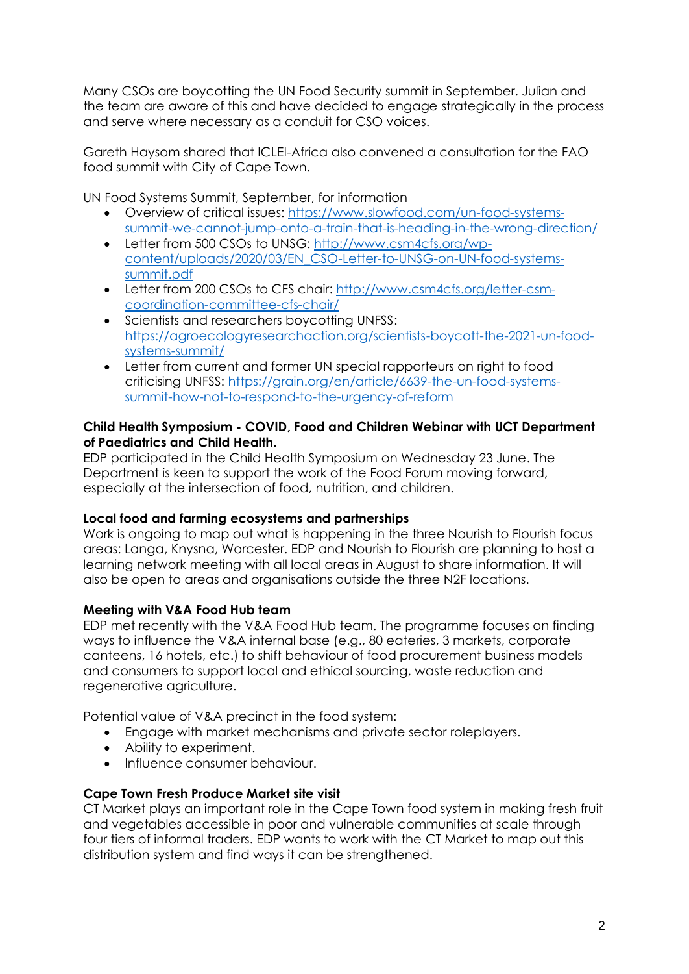Many CSOs are boycotting the UN Food Security summit in September. Julian and the team are aware of this and have decided to engage strategically in the process and serve where necessary as a conduit for CSO voices.

Gareth Haysom shared that ICLEI-Africa also convened a consultation for the FAO food summit with City of Cape Town.

UN Food Systems Summit, September, for information

- Overview of critical issues: [https://www.slowfood.com/un-food-systems](https://www.slowfood.com/un-food-systems-summit-we-cannot-jump-onto-a-train-that-is-heading-in-the-wrong-direction/)[summit-we-cannot-jump-onto-a-train-that-is-heading-in-the-wrong-direction/](https://www.slowfood.com/un-food-systems-summit-we-cannot-jump-onto-a-train-that-is-heading-in-the-wrong-direction/)
- Letter from 500 CSOs to UNSG: [http://www.csm4cfs.org/wp](http://www.csm4cfs.org/wp-content/uploads/2020/03/EN_CSO-Letter-to-UNSG-on-UN-food-systems-summit.pdf)[content/uploads/2020/03/EN\\_CSO-Letter-to-UNSG-on-UN-food-systems](http://www.csm4cfs.org/wp-content/uploads/2020/03/EN_CSO-Letter-to-UNSG-on-UN-food-systems-summit.pdf)[summit.pdf](http://www.csm4cfs.org/wp-content/uploads/2020/03/EN_CSO-Letter-to-UNSG-on-UN-food-systems-summit.pdf)
- Letter from 200 CSOs to CFS chair: [http://www.csm4cfs.org/letter-csm](http://www.csm4cfs.org/letter-csm-coordination-committee-cfs-chair/)[coordination-committee-cfs-chair/](http://www.csm4cfs.org/letter-csm-coordination-committee-cfs-chair/)
- Scientists and researchers boycotting UNFSS: [https://agroecologyresearchaction.org/scientists-boycott-the-2021-un-food](https://agroecologyresearchaction.org/scientists-boycott-the-2021-un-food-systems-summit/)[systems-summit/](https://agroecologyresearchaction.org/scientists-boycott-the-2021-un-food-systems-summit/)
- Letter from current and former UN special rapporteurs on right to food criticising UNFSS: [https://grain.org/en/article/6639-the-un-food-systems](https://grain.org/en/article/6639-the-un-food-systems-summit-how-not-to-respond-to-the-urgency-of-reform)[summit-how-not-to-respond-to-the-urgency-of-reform](https://grain.org/en/article/6639-the-un-food-systems-summit-how-not-to-respond-to-the-urgency-of-reform)

#### **Child Health Symposium - COVID, Food and Children Webinar with UCT Department of Paediatrics and Child Health.**

EDP participated in the Child Health Symposium on Wednesday 23 June. The Department is keen to support the work of the Food Forum moving forward, especially at the intersection of food, nutrition, and children.

# **Local food and farming ecosystems and partnerships**

Work is ongoing to map out what is happening in the three Nourish to Flourish focus areas: Langa, Knysna, Worcester. EDP and Nourish to Flourish are planning to host a learning network meeting with all local areas in August to share information. It will also be open to areas and organisations outside the three N2F locations.

# **Meeting with V&A Food Hub team**

EDP met recently with the V&A Food Hub team. The programme focuses on finding ways to influence the V&A internal base (e.g., 80 eateries, 3 markets, corporate canteens, 16 hotels, etc.) to shift behaviour of food procurement business models and consumers to support local and ethical sourcing, waste reduction and regenerative agriculture.

Potential value of V&A precinct in the food system:

- Engage with market mechanisms and private sector roleplayers.
- Ability to experiment.
- Influence consumer behaviour.

### **Cape Town Fresh Produce Market site visit**

CT Market plays an important role in the Cape Town food system in making fresh fruit and vegetables accessible in poor and vulnerable communities at scale through four tiers of informal traders. EDP wants to work with the CT Market to map out this distribution system and find ways it can be strengthened.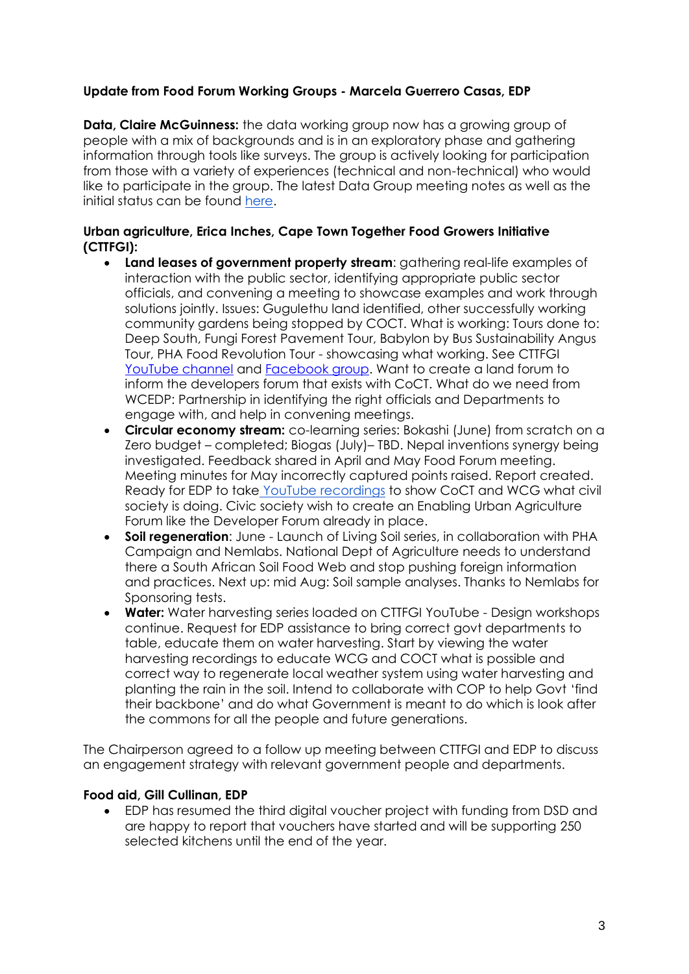# **Update from Food Forum Working Groups - Marcela Guerrero Casas, EDP**

**Data, Claire McGuinness:** the data working group now has a growing group of people with a mix of backgrounds and is in an exploratory phase and gathering information through tools like surveys. The group is actively looking for participation from those with a variety of experiences (technical and non-technical) who would like to participate in the group. The latest Data Group meeting notes as well as the initial status can be found [here.](https://docs.google.com/document/d/1O4kgPWbl5OzGWsiBOMLotH1E1pg6emkHSrBeaXPYn-U/edit)

## **Urban agriculture, Erica Inches, Cape Town Together Food Growers Initiative (CTTFGI):**

- **Land leases of government property stream**: gathering real-life examples of interaction with the public sector, identifying appropriate public sector officials, and convening a meeting to showcase examples and work through solutions jointly. Issues: Gugulethu land identified, other successfully working community gardens being stopped by COCT. What is working: Tours done to: Deep South, Fungi Forest Pavement Tour, Babylon by Bus Sustainability Angus Tour, PHA Food Revolution Tour - showcasing what working. See CTTFGI [YouTube](https://www.youtube.com/channel/UC3S5eHIVUDhY6bgrpRiJLSQ) channel and [Facebook group.](https://www.facebook.com/groups/670655126826113) Want to create a land forum to inform the developers forum that exists with CoCT. What do we need from WCEDP: Partnership in identifying the right officials and Departments to engage with, and help in convening meetings.
- **Circular economy stream:** co-learning series: Bokashi (June) from scratch on a Zero budget – completed; Biogas (July)– TBD. Nepal inventions synergy being investigated. Feedback shared in April and May Food Forum meeting. Meeting minutes for May incorrectly captured points raised. Report created. Ready for EDP to take YouTube [recordings](https://www.youtube.com/channel/UC3S5eHIVUDhY6bgrpRiJLSQ) to show CoCT and WCG what civil society is doing. Civic society wish to create an Enabling Urban Agriculture Forum like the Developer Forum already in place.
- **Soil regeneration**: June Launch of Living Soil series, in collaboration with PHA Campaign and Nemlabs. National Dept of Agriculture needs to understand there a South African Soil Food Web and stop pushing foreign information and practices. Next up: mid Aug: Soil sample analyses. Thanks to Nemlabs for Sponsoring tests.
- **Water:** Water harvesting series loaded on CTTFGI YouTube Design workshops continue. Request for EDP assistance to bring correct govt departments to table, educate them on water harvesting. Start by viewing the water harvesting recordings to educate WCG and COCT what is possible and correct way to regenerate local weather system using water harvesting and planting the rain in the soil. Intend to collaborate with COP to help Govt 'find their backbone' and do what Government is meant to do which is look after the commons for all the people and future generations.

The Chairperson agreed to a follow up meeting between CTTFGI and EDP to discuss an engagement strategy with relevant government people and departments.

### **Food aid, Gill Cullinan, EDP**

• EDP has resumed the third digital voucher project with funding from DSD and are happy to report that vouchers have started and will be supporting 250 selected kitchens until the end of the year.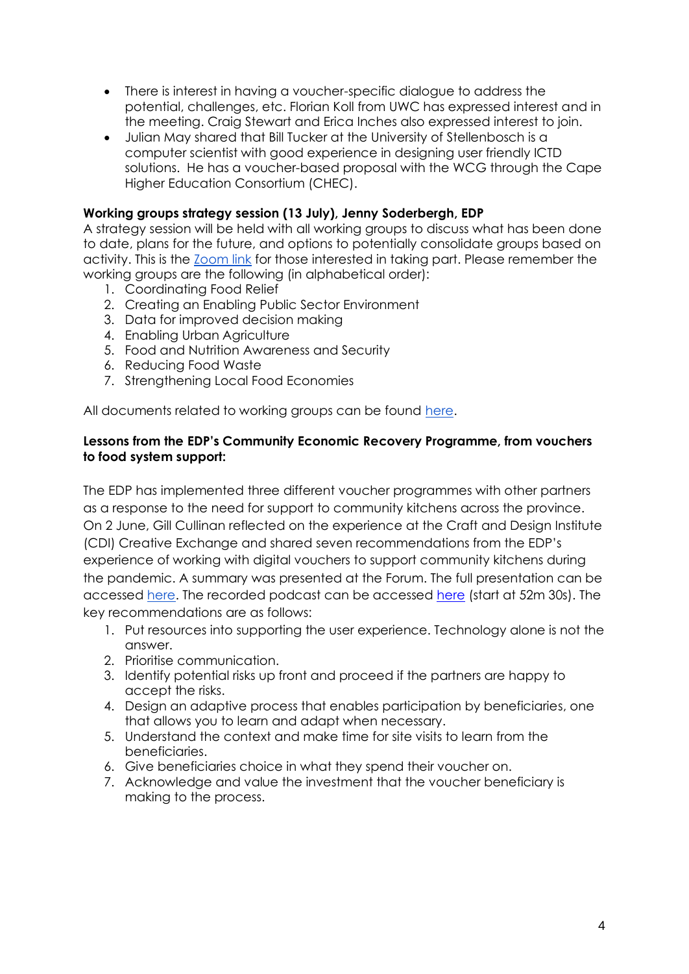- There is interest in having a voucher-specific dialogue to address the potential, challenges, etc. Florian Koll from UWC has expressed interest and in the meeting. Craig Stewart and Erica Inches also expressed interest to join.
- Julian May shared that Bill Tucker at the University of Stellenbosch is a computer scientist with good experience in designing user friendly ICTD solutions. He has a voucher-based proposal with the WCG through the Cape Higher Education Consortium (CHEC).

## **Working groups strategy session (13 July), Jenny Soderbergh, EDP**

A strategy session will be held with all working groups to discuss what has been done to date, plans for the future, and options to potentially consolidate groups based on activity. This is the **Zoom link** for those interested in taking part. Please remember the working groups are the following (in alphabetical order):

- 1. Coordinating Food Relief
- 2. Creating an Enabling Public Sector Environment
- 3. Data for improved decision making
- 4. Enabling Urban Agriculture
- 5. Food and Nutrition Awareness and Security
- 6. Reducing Food Waste
- 7. Strengthening Local Food Economies

All documents related to working groups can be found [here.](https://drive.google.com/drive/folders/1CXKyluMH0-uzLUNxNbn3vCsZCNut6Dl6?usp=sharing)

### **Lessons from the EDP's Community Economic Recovery Programme, from vouchers to food system support:**

The EDP has implemented three different voucher programmes with other partners as a response to the need for support to community kitchens across the province. On 2 June, Gill Cullinan reflected on the experience at the Craft and Design Institute (CDI) Creative Exchange and shared seven recommendations from the EDP's experience of working with digital vouchers to support community kitchens during the pandemic. A summary was presented at the Forum. The full presentation can be accessed [here.](https://drive.google.com/file/d/1kkl06bNx9FEcnu7IAkFi5bmAkmuJXT0z/view?usp=sharing) The recorded podcast can be accessed [here](https://www.youtube.com/watch?v=nOsH8alxQ-k) (start at 52m 30s). The key recommendations are as follows:

- 1. Put resources into supporting the user experience. Technology alone is not the answer.
- 2. Prioritise communication.
- 3. Identify potential risks up front and proceed if the partners are happy to accept the risks.
- 4. Design an adaptive process that enables participation by beneficiaries, one that allows you to learn and adapt when necessary.
- 5. Understand the context and make time for site visits to learn from the beneficiaries.
- 6. Give beneficiaries choice in what they spend their voucher on.
- 7. Acknowledge and value the investment that the voucher beneficiary is making to the process.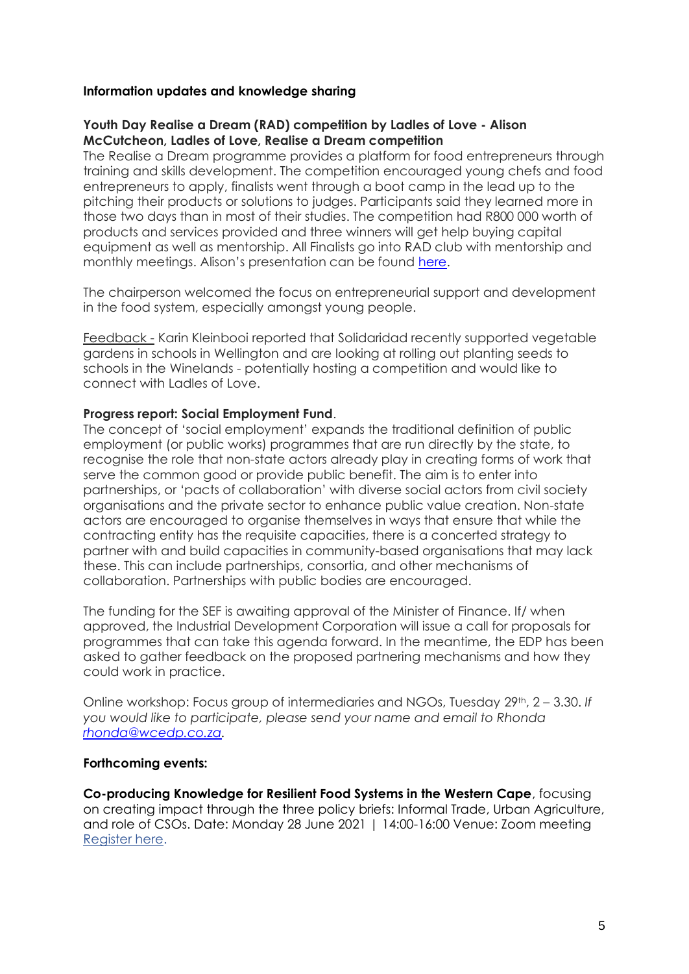#### **Information updates and knowledge sharing**

#### **Youth Day Realise a Dream (RAD) competition by Ladles of Love - Alison McCutcheon, Ladles of Love, Realise a Dream competition**

The Realise a Dream programme provides a platform for food entrepreneurs through training and skills development. The competition encouraged young chefs and food entrepreneurs to apply, finalists went through a boot camp in the lead up to the pitching their products or solutions to judges. Participants said they learned more in those two days than in most of their studies. The competition had R800 000 worth of products and services provided and three winners will get help buying capital equipment as well as mentorship. All Finalists go into RAD club with mentorship and monthly meetings. Alison's presentation can be found [here.](https://drive.google.com/file/d/101UO-4soJ9pKIdILBuUp5sWkq2PpVN56/view?usp=sharing)

The chairperson welcomed the focus on entrepreneurial support and development in the food system, especially amongst young people.

Feedback - Karin Kleinbooi reported that Solidaridad recently supported vegetable gardens in schools in Wellington and are looking at rolling out planting seeds to schools in the Winelands - potentially hosting a competition and would like to connect with Ladles of Love.

#### **Progress report: Social Employment Fund**.

The concept of 'social employment' expands the traditional definition of public employment (or public works) programmes that are run directly by the state, to recognise the role that non-state actors already play in creating forms of work that serve the common good or provide public benefit. The aim is to enter into partnerships, or 'pacts of collaboration' with diverse social actors from civil society organisations and the private sector to enhance public value creation. Non-state actors are encouraged to organise themselves in ways that ensure that while the contracting entity has the requisite capacities, there is a concerted strategy to partner with and build capacities in community-based organisations that may lack these. This can include partnerships, consortia, and other mechanisms of collaboration. Partnerships with public bodies are encouraged.

The funding for the SEF is awaiting approval of the Minister of Finance. If/ when approved, the Industrial Development Corporation will issue a call for proposals for programmes that can take this agenda forward. In the meantime, the EDP has been asked to gather feedback on the proposed partnering mechanisms and how they could work in practice.

Online workshop: Focus group of intermediaries and NGOs, Tuesday 29th, 2 – 3.30. *If you would like to participate, please send your name and email to Rhonda [rhonda@wcedp.co.za.](mailto:rhonda@wcedp.co.za)*

#### **Forthcoming events:**

**Co-producing Knowledge for Resilient Food Systems in the Western Cape**, focusing on creating impact through the three policy briefs: Informal Trade, Urban Agriculture, and role of CSOs. Date: Monday 28 June 2021 | 14:00-16:00 Venue: Zoom meetin[g](https://plaas.us18.list-manage.com/track/click?u=9501da252e3844f536cf67b8e&id=e60dbe75d4&e=119c4836dc) [Register here.](https://plaas.us18.list-manage.com/track/click?u=9501da252e3844f536cf67b8e&id=e60dbe75d4&e=119c4836dc)